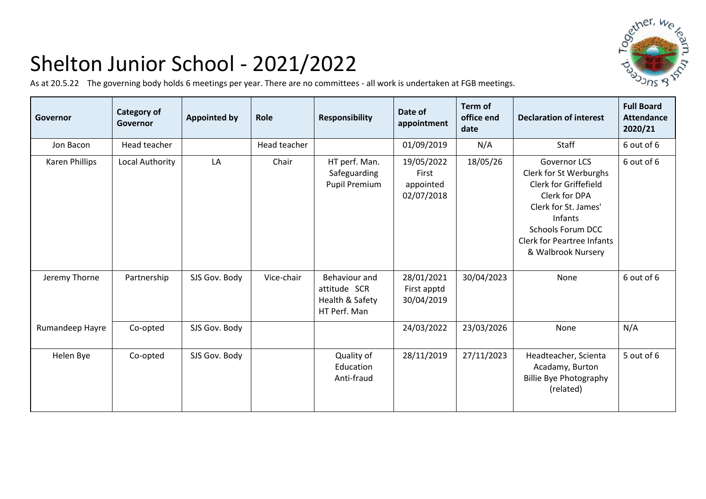

## Shelton Junior School - 2021/2022

As at 20.5.22 The governing body holds 6 meetings per year. There are no committees - all work is undertaken at FGB meetings.

| Governor        | Category of<br>Governor | <b>Appointed by</b> | Role         | <b>Responsibility</b>                                            | Date of<br>appointment                         | Term of<br>office end<br>date | <b>Declaration of interest</b>                                                                                                                                                                                           | <b>Full Board</b><br><b>Attendance</b><br>2020/21 |
|-----------------|-------------------------|---------------------|--------------|------------------------------------------------------------------|------------------------------------------------|-------------------------------|--------------------------------------------------------------------------------------------------------------------------------------------------------------------------------------------------------------------------|---------------------------------------------------|
| Jon Bacon       | Head teacher            |                     | Head teacher |                                                                  | 01/09/2019                                     | N/A                           | Staff                                                                                                                                                                                                                    | 6 out of 6                                        |
| Karen Phillips  | Local Authority         | LA                  | Chair        | HT perf. Man.<br>Safeguarding<br><b>Pupil Premium</b>            | 19/05/2022<br>First<br>appointed<br>02/07/2018 | 18/05/26                      | <b>Governor LCS</b><br>Clerk for St Werburghs<br>Clerk for Griffefield<br>Clerk for DPA<br>Clerk for St. James'<br><b>Infants</b><br><b>Schools Forum DCC</b><br><b>Clerk for Peartree Infants</b><br>& Walbrook Nursery | 6 out of 6                                        |
| Jeremy Thorne   | Partnership             | SJS Gov. Body       | Vice-chair   | Behaviour and<br>attitude SCR<br>Health & Safety<br>HT Perf. Man | 28/01/2021<br>First apptd<br>30/04/2019        | 30/04/2023                    | None                                                                                                                                                                                                                     | 6 out of 6                                        |
| Rumandeep Hayre | Co-opted                | SJS Gov. Body       |              |                                                                  | 24/03/2022                                     | 23/03/2026                    | None                                                                                                                                                                                                                     | N/A                                               |
| Helen Bye       | Co-opted                | SJS Gov. Body       |              | Quality of<br>Education<br>Anti-fraud                            | 28/11/2019                                     | 27/11/2023                    | Headteacher, Scienta<br>Acadamy, Burton<br><b>Billie Bye Photography</b><br>(related)                                                                                                                                    | 5 out of 6                                        |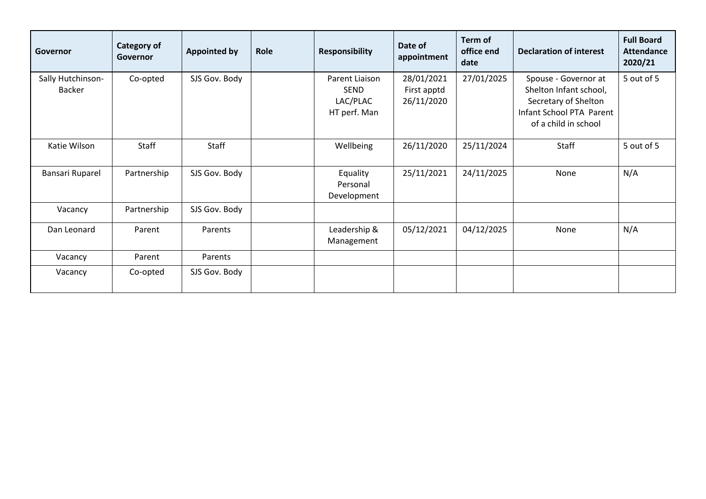| Governor                           | <b>Category of</b><br>Governor | Appointed by  | Role | <b>Responsibility</b>                                     | Date of<br>appointment                  | Term of<br>office end<br>date | <b>Declaration of interest</b>                                                                                             | <b>Full Board</b><br><b>Attendance</b><br>2020/21 |
|------------------------------------|--------------------------------|---------------|------|-----------------------------------------------------------|-----------------------------------------|-------------------------------|----------------------------------------------------------------------------------------------------------------------------|---------------------------------------------------|
| Sally Hutchinson-<br><b>Backer</b> | Co-opted                       | SJS Gov. Body |      | Parent Liaison<br><b>SEND</b><br>LAC/PLAC<br>HT perf. Man | 28/01/2021<br>First apptd<br>26/11/2020 | 27/01/2025                    | Spouse - Governor at<br>Shelton Infant school,<br>Secretary of Shelton<br>Infant School PTA Parent<br>of a child in school | 5 out of 5                                        |
| Katie Wilson                       | <b>Staff</b>                   | Staff         |      | Wellbeing                                                 | 26/11/2020                              | 25/11/2024                    | Staff                                                                                                                      | 5 out of 5                                        |
| Bansari Ruparel                    | Partnership                    | SJS Gov. Body |      | Equality<br>Personal<br>Development                       | 25/11/2021                              | 24/11/2025                    | None                                                                                                                       | N/A                                               |
| Vacancy                            | Partnership                    | SJS Gov. Body |      |                                                           |                                         |                               |                                                                                                                            |                                                   |
| Dan Leonard                        | Parent                         | Parents       |      | Leadership &<br>Management                                | 05/12/2021                              | 04/12/2025                    | None                                                                                                                       | N/A                                               |
| Vacancy                            | Parent                         | Parents       |      |                                                           |                                         |                               |                                                                                                                            |                                                   |
| Vacancy                            | Co-opted                       | SJS Gov. Body |      |                                                           |                                         |                               |                                                                                                                            |                                                   |